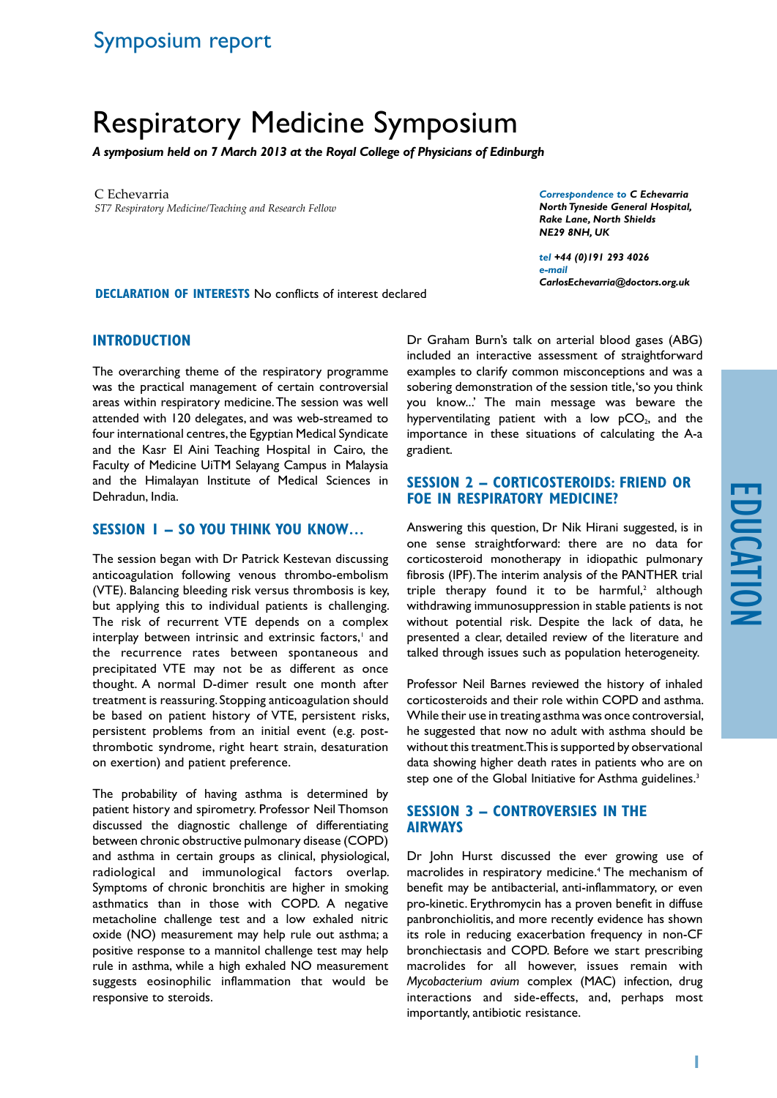# Respiratory Medicine Symposium

*A symposium held on 7 March 2013 at the Royal College of Physicians of Edinburgh*

C Echevarria *ST7 Respiratory Medicine/Teaching and Research Fellow* *Correspondence to C Echevarria North Tyneside General Hospital, Rake Lane, North Shields NE29 8NH, UK*

*tel +44 (0)191 293 4026 e-mail CarlosEchevarria@doctors.org.uk*

**Declaration of Interests** No conflicts of interest declared

### **Introduction**

The overarching theme of the respiratory programme was the practical management of certain controversial areas within respiratory medicine. The session was well attended with 120 delegates, and was web-streamed to four international centres, the Egyptian Medical Syndicate and the Kasr El Aini Teaching Hospital in Cairo, the Faculty of Medicine UiTM Selayang Campus in Malaysia and the Himalayan Institute of Medical Sciences in Dehradun, India.

#### **Session 1 – So you think you know…**

The session began with Dr Patrick Kestevan discussing anticoagulation following venous thrombo-embolism (VTE). Balancing bleeding risk versus thrombosis is key, but applying this to individual patients is challenging. The risk of recurrent VTE depends on a complex interplay between intrinsic and extrinsic factors,<sup>1</sup> and the recurrence rates between spontaneous and precipitated VTE may not be as different as once thought. A normal D-dimer result one month after treatment is reassuring. Stopping anticoagulation should be based on patient history of VTE, persistent risks, persistent problems from an initial event (e.g. postthrombotic syndrome, right heart strain, desaturation on exertion) and patient preference.

The probability of having asthma is determined by patient history and spirometry. Professor Neil Thomson discussed the diagnostic challenge of differentiating between chronic obstructive pulmonary disease (COPD) and asthma in certain groups as clinical, physiological, radiological and immunological factors overlap. Symptoms of chronic bronchitis are higher in smoking asthmatics than in those with COPD. A negative metacholine challenge test and a low exhaled nitric oxide (NO) measurement may help rule out asthma; a positive response to a mannitol challenge test may help rule in asthma, while a high exhaled NO measurement suggests eosinophilic inflammation that would be responsive to steroids.

Dr Graham Burn's talk on arterial blood gases (ABG) included an interactive assessment of straightforward examples to clarify common misconceptions and was a sobering demonstration of the session title, 'so you think you know...' The main message was beware the hyperventilating patient with a low  $pCO<sub>2</sub>$ , and the importance in these situations of calculating the A-a gradient.

# **Session 2 – Corticosteroids: friend or foe in respiratory medicine?**

Answering this question, Dr Nik Hirani suggested, is in one sense straightforward: there are no data for corticosteroid monotherapy in idiopathic pulmonary fibrosis (IPF). The interim analysis of the PANTHER trial triple therapy found it to be harmful, $2$  although withdrawing immunosuppression in stable patients is not without potential risk. Despite the lack of data, he presented a clear, detailed review of the literature and talked through issues such as population heterogeneity.

Professor Neil Barnes reviewed the history of inhaled corticosteroids and their role within COPD and asthma. While their use in treating asthma was once controversial, he suggested that now no adult with asthma should be without this treatment. This is supported by observational data showing higher death rates in patients who are on step one of the Global Initiative for Asthma guidelines.<sup>3</sup>

# **Session 3 – Controversies in the airways**

Dr John Hurst discussed the ever growing use of macrolides in respiratory medicine.<sup>4</sup> The mechanism of benefit may be antibacterial, anti-inflammatory, or even pro-kinetic. Erythromycin has a proven benefit in diffuse panbronchiolitis, and more recently evidence has shown its role in reducing exacerbation frequency in non-CF bronchiectasis and COPD. Before we start prescribing macrolides for all however, issues remain with *Mycobacterium avium* complex (MAC) infection, drug interactions and side-effects, and, perhaps most importantly, antibiotic resistance.